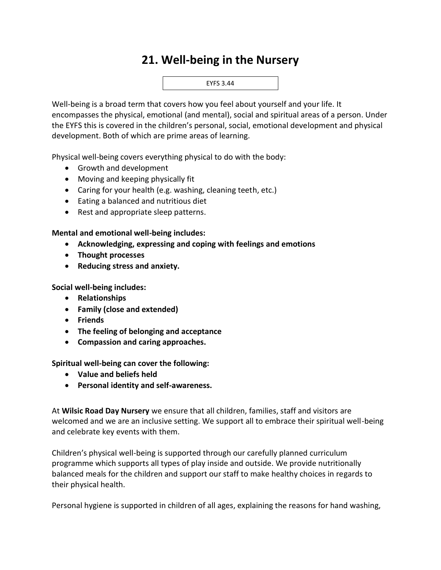## **21. Well-being in the Nursery**



Well-being is a broad term that covers how you feel about yourself and your life. It encompasses the physical, emotional (and mental), social and spiritual areas of a person. Under the EYFS this is covered in the children's personal, social, emotional development and physical development. Both of which are prime areas of learning.

Physical well-being covers everything physical to do with the body:

- Growth and development
- Moving and keeping physically fit
- Caring for your health (e.g. washing, cleaning teeth, etc.)
- Eating a balanced and nutritious diet
- Rest and appropriate sleep patterns.

## **Mental and emotional well-being includes:**

- **Acknowledging, expressing and coping with feelings and emotions**
- **Thought processes**
- **Reducing stress and anxiety.**

**Social well-being includes:** 

- **Relationships**
- **Family (close and extended)**
- **Friends**
- **The feeling of belonging and acceptance**
- **Compassion and caring approaches.**

**Spiritual well-being can cover the following:** 

- **Value and beliefs held**
- **Personal identity and self-awareness.**

At **Wilsic Road Day Nursery** we ensure that all children, families, staff and visitors are welcomed and we are an inclusive setting. We support all to embrace their spiritual well-being and celebrate key events with them.

Children's physical well-being is supported through our carefully planned curriculum programme which supports all types of play inside and outside. We provide nutritionally balanced meals for the children and support our staff to make healthy choices in regards to their physical health.

Personal hygiene is supported in children of all ages, explaining the reasons for hand washing,